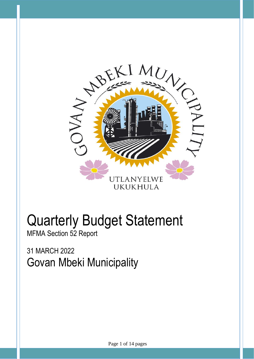

# Quarterly Budget Statement

MFMA Section 52 Report

31 MARCH 2022 Govan Mbeki Municipality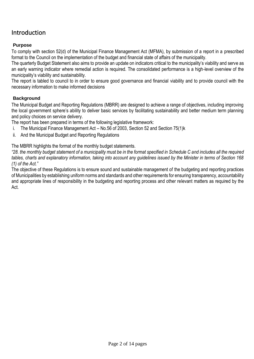# Introduction

# **Purpose**

To comply with section 52(d) of the Municipal Finance Management Act (MFMA), by submission of a report in a prescribed format to the Council on the implementation of the budget and financial state of affairs of the municipality.

The quarterly Budget Statement also aims to provide an update on indicators critical to the municipality's viability and serve as an early warning indicator where remedial action is required. The consolidated performance is a high-level overview of the municipality's viability and sustainability.

The report is tabled to council to in order to ensure good governance and financial viability and to provide council with the necessary information to make informed decisions

# **Background**

The Municipal Budget and Reporting Regulations (MBRR) are designed to achieve a range of objectives, including improving the local government sphere's ability to deliver basic services by facilitating sustainability and better medium term planning and policy choices on service delivery.

The report has been prepared in terms of the following legislative framework:

- i. The Municipal Finance Management Act No.56 of 2003, Section 52 and Section 75(1)k
- ii. And the Municipal Budget and Reporting Regulations

The MBRR highlights the format of the monthly budget statements.

*"28. the monthly budget statement of a municipality must be in the format specified in Schedule C and includes all the required tables, charts and explanatory information, taking into account any guidelines issued by the Minister in terms of Section 168 (1) of the Act."*

The objective of these Regulations is to ensure sound and sustainable management of the budgeting and reporting practices of Municipalities by establishing uniform norms and standards and other requirements for ensuring transparency, accountability and appropriate lines of responsibility in the budgeting and reporting process and other relevant matters as required by the Act.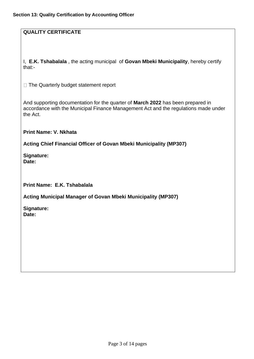# **QUALITY CERTIFICATE**

I, **E.K. Tshabalala** , the acting municipal of **Govan Mbeki Municipality**, hereby certify that:-

□ The Quarterly budget statement report

And supporting documentation for the quarter of **March 2022** has been prepared in accordance with the Municipal Finance Management Act and the regulations made under the Act.

**Print Name: V. Nkhata**

**Acting Chief Financial Officer of Govan Mbeki Municipality (MP307)**

**Signature: Date:**

**Print Name: E.K. Tshabalala**

**Acting Municipal Manager of Govan Mbeki Municipality (MP307)**

**Signature: Date:**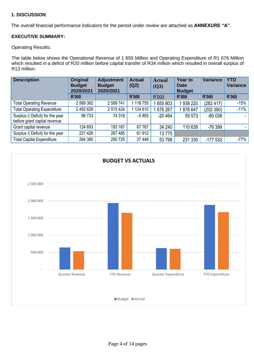# **1. DISCUSSION**:

The overall financial performance indicators for the period under review are attached as **ANNEXURE "A"**.

# **EXECUTIVE SUMMARY:**

#### Operating Results**:**

The table below shows the Operational Revenue of 1 655 Million and Operating Expenditure of R1 676 Million which resulted in a deficit of R20 million before capital transfer of R34 million which resulted in overall surplus of R13 million.

| <b>Description</b>                                               | <b>Original</b><br><b>Budget</b><br>2020/2021 | <b>Adjustment</b><br><b>Budget</b><br>2020/2021 | <b>Actual</b><br>(Q2) | <b>Actual</b><br>(Q3) | <b>Year to</b><br><b>Date</b><br><b>Budget</b> | <b>Variance</b> | <b>YTD</b><br><b>Variance</b> |
|------------------------------------------------------------------|-----------------------------------------------|-------------------------------------------------|-----------------------|-----------------------|------------------------------------------------|-----------------|-------------------------------|
|                                                                  | R'000                                         |                                                 | <b>R'000</b>          | R'000                 | <b>R'000</b>                                   | <b>R'000</b>    | <b>R'000</b>                  |
| <b>Total Operating Revenue</b>                                   | 2 589 362                                     | 2 589 741                                       | 118 755               | 655 803               | 938 220                                        | (282 417)       | $-15%$                        |
| <b>Total Operating Expenditure</b>                               | 2 492 629                                     | 2 515 424                                       | 124 610               | 676 267               | 1878 647                                       | (202 380)       | $-11%$                        |
| Surplus /( Deficit) for the year<br>before grant capital revenue | 96 733                                        | 74 318                                          | $-5855$               | $-20464$              | 59 573                                         | $-80038$        |                               |
| Grant capital revenue                                            | 124 693                                       | 193 167                                         | 67 767                | 34 240                | 110 638                                        | $-76399$        |                               |
| Surplus /( Deficit) for the year                                 | 221 426                                       | 267 485                                         | 61912                 | 13775                 |                                                |                 |                               |
| <b>Total Capital Expenditure</b>                                 | 264 380                                       | 290 725                                         | 37 448                | 53 798                | 231 330                                        | $-177532$       | $-77%$                        |

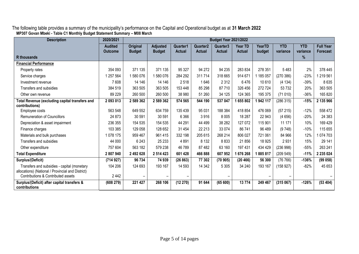The following table provides a summary of the municipality's performance on the Capital and Operational budget as at **31 March 2022 MP307 Govan Mbeki - Table C1 Monthly Budget Statement Summary – M08 March**

| <b>Description</b>                                                                                                                     | 2020/2021                        |                                  |                                  |                           |                                       | <b>Budget Year 2021/2022</b>          |                          |                  |                        |                        |                                     |
|----------------------------------------------------------------------------------------------------------------------------------------|----------------------------------|----------------------------------|----------------------------------|---------------------------|---------------------------------------|---------------------------------------|--------------------------|------------------|------------------------|------------------------|-------------------------------------|
|                                                                                                                                        | <b>Audited</b><br><b>Outcome</b> | <b>Original</b><br><b>Budget</b> | <b>Adjusted</b><br><b>Budget</b> | Quarter1<br><b>Actual</b> | Quarter <sub>2</sub><br><b>Actual</b> | Quarter <sub>3</sub><br><b>Actual</b> | Year TD<br><b>Actual</b> | YearTD<br>budget | <b>YTD</b><br>variance | <b>YTD</b><br>variance | <b>Full Year</b><br><b>Forecast</b> |
| <b>R</b> thousands                                                                                                                     |                                  |                                  |                                  |                           |                                       |                                       |                          |                  |                        | %                      |                                     |
| <b>Financial Performance</b>                                                                                                           |                                  |                                  |                                  |                           |                                       |                                       |                          |                  |                        |                        |                                     |
| Property rates                                                                                                                         | 354 093                          | 371 135                          | 371 135                          | 95 327                    | 94 27 2                               | 94 235                                | 283 834                  | 278 351          | 5483                   | 2%                     | 378 445                             |
| Service charges                                                                                                                        | 1 257 564                        | 580 076                          | 1580076                          | 284 292                   | 311714                                | 318 665                               | 914 671                  | 185 057          | (270386)               | $-23%$                 | 219 561                             |
| Investment revenue                                                                                                                     | 7608                             | 14 14 6                          | 14 14 6                          | 2518                      | 1646                                  | 2 3 1 2                               | 6476                     | 10 610           | (4134)                 | $-39%$                 | 8 6 3 5                             |
| Transfers and subsidies                                                                                                                | 384 519                          | 363 505                          | 363 505                          | 153 448                   | 85 298                                | 87 710                                | 326 456                  | 272 724          | 53 732                 | 20%                    | 363 505                             |
| Other own revenue                                                                                                                      | 89 229                           | 260 500                          | 260 500                          | 38 980                    | 51 260                                | 34 125                                | 124 365                  | 195 375          | (71010)                | $-36%$                 | 165 820                             |
| Total Revenue (excluding capital transfers and<br>contributions)                                                                       | 2 093 013                        | 2 589 362                        | 2 589 362                        | 574 565                   | 544 190                               | 537 047                               | 1655802                  | 1 942 117        | (286315)               | $-15%$                 | 2 135 966                           |
| Employee costs                                                                                                                         | 563 548                          | 649 552                          | 634 759                          | 135 439                   | 95 031                                | 188 384                               | 418 854                  | 476 069          | (57215)                | $-12%$                 | 558 472                             |
| <b>Remuneration of Councillors</b>                                                                                                     | 24 873                           | 30 591                           | 30 591                           | 6 3 6 6                   | 3916                                  | 8 0 0 5                               | 18 287                   | 22 943           | (4656)                 | $-20%$                 | 24 383                              |
| Depreciation & asset impairment                                                                                                        | 236 355                          | 154 535                          | 154 535                          | 44 291                    | 44 499                                | 38 28 2                               | 127 072                  | 115 901          | 11 171                 | 10%                    | 169 429                             |
| Finance charges                                                                                                                        | 103 385                          | 129 058                          | 128 652                          | 31 454                    | 22 213                                | 33 0 74                               | 86 741                   | 96 489           | (9748)                 | $-10%$                 | 115 655                             |
| Materials and bulk purchases                                                                                                           | 1 078 175                        | 959 467                          | 961 415                          | 332 198                   | 205 615                               | 268 214                               | 806 027                  | 721 061          | 84 966                 | 12%                    | 1074703                             |
| Transfers and subsidies                                                                                                                | 44 000                           | 6 2 4 3                          | 25 233                           | 4891                      | 8 1 3 2                               | 8833                                  | 21 856                   | 18 9 25          | 2931                   | 15%                    | 29 14 1                             |
| Other expenditure                                                                                                                      | 757 604                          | 563 182                          | 579 238                          | 46 789                    | 87 482                                | 63 160                                | 197 431                  | 434 429          | (236998)               | $-55%$                 | 263 241                             |
| <b>Total Expenditure</b>                                                                                                               | 2 807 940                        | 2 492 628                        | 2 514 423                        | 601 428                   | 466 888                               | 607952                                | 1676268                  | 1885817          | (209549)               | $-11%$                 | 2 235 024                           |
| Surplus/(Deficit)                                                                                                                      | (714927)                         | 96 734                           | 74 939                           | (26 863)                  | 77 302                                | (70905)                               | (20 466)                 | 56 300           | (76 766)               | $-136%$                | (99 058)                            |
| Transfers and subsidies - capital (monetary<br>allocations) (National / Provincial and District)<br>Contributions & Contributed assets | 104 206<br>2 4 4 2               | 124 693                          | 193 167                          | 14 593                    | 14 342                                | 5 3 0 5                               | 34 240                   | 193 167          | (158927)               | $-82%$                 | 45 653                              |
| Surplus/(Deficit) after capital transfers &                                                                                            |                                  | 221 427                          | 268 106                          | (12 270)                  | 91 644                                | (65600)                               | 13774                    | 249 467          |                        | $-126%$                | (53 404)                            |
| contributions                                                                                                                          | (608 279)                        |                                  |                                  |                           |                                       |                                       |                          |                  | (315067)               |                        |                                     |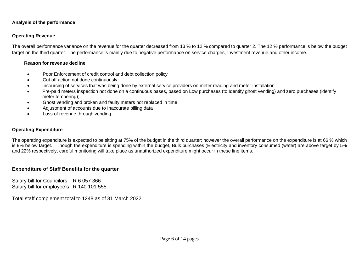#### **Analysis of the performance**

## **Operating Revenue**

The overall performance variance on the revenue for the quarter decreased from 13 % to 12 % compared to quarter 2. The 12 % performance is below the budget target on the third quarter. The performance is mainly due to negative performance on service charges, Investment revenue and other income.

#### **Reason for revenue decline**

- Poor Enforcement of credit control and debt collection policy
- Cut off action not done continuously
- Insourcing of services that was being done by external service providers on meter reading and meter installation
- Pre-paid meters inspection not done on a continuous bases, based on Low purchases (to Identify ghost vending) and zero purchases (identify meter tempering);
- Ghost vending and broken and faulty meters not replaced in time.
- Adjustment of accounts due to Inaccurate billing data
- Loss of revenue through vending

#### **Operating Expenditure**

The operating expenditure is expected to be sitting at 75% of the budget in the third quarter; however the overall performance on the expenditure is at 66 % which is 9% below target. Though the expenditure is spending within the budget, Bulk purchases (Electricity and inventory consumed (water) are above target by 5% and 22% respectively, careful monitoring will take place as unauthorized expenditure might occur in these line items.

# **Expenditure of Staff Benefits for the quarter**

Salary bill for Councilors R 6 057 366 Salary bill for employee's R 140 101 555

Total staff complement total to 1248 as of 31 March 2022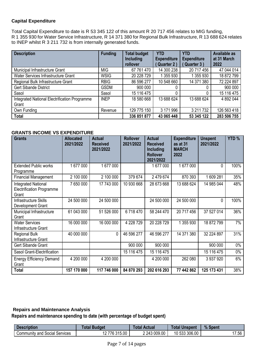# **Capital Expenditure**

Total Capital Expenditure to date is R 53 345 122 of this amount R 20 717 456 relates to MIG funding, R 1 355 930 for Water Service Infrastructure, R 14 371 380 for Regional Bulk Infrastructure, R 13 688 624 relates to INEP whilst R 3 211 732 is from internally generated funds.

| <b>Description</b>                                     | <b>Funding</b> | <b>Total budget</b><br><b>Including</b><br>rollover | <b>YTD</b><br><b>Expenditure</b><br>Quarter 2) | <b>YTD</b><br><b>Expenditure</b><br>Quarter 3 | <b>Available as</b><br>at 31 March<br>2022 |
|--------------------------------------------------------|----------------|-----------------------------------------------------|------------------------------------------------|-----------------------------------------------|--------------------------------------------|
| Municipal Infrastructure Grant                         | <b>MIG</b>     | 67 761 470                                          | 14 300 238                                     | 20 717 456                                    | 47 044 014                                 |
| Water Services Infrastructure Grant                    | <b>WSIG</b>    | 20 228 729                                          | 1 355 930                                      | 1 355 930                                     | 18 872 799                                 |
| Regional Bulk Infrastructure Grant                     | <b>RBIG</b>    | 86 596 277                                          | 10 548 660                                     | 14 371 380                                    | 72 224 897                                 |
| <b>Gert Sibande District</b>                           | <b>GSDM</b>    | 900 000                                             |                                                |                                               | 900 000                                    |
| Sasol                                                  | Sasol          | 15 116 475                                          |                                                |                                               | 15 116 475                                 |
| Integrated National Electrification Programme<br>Grant | <b>INEP</b>    | 18 580 668                                          | 13 688 624                                     | 13 688 624                                    | 4 892 044                                  |
| Own Funding                                            | Revenue        | 129 775 150                                         | 3 171 996                                      | 3 211 732                                     | 126 563 418                                |
| Total                                                  |                | 336 851 877                                         | 43 065 448                                     | 53 345 122                                    | 283 506 755                                |

# **GRANTS INCOME VS EXPENDITURE**

| <b>Grants</b>                                                           | <b>Allocated</b><br>2021/2022 | <b>Actual</b><br><b>Received</b><br>2021/2022 | <b>Rollover</b><br>2021/2022 | <b>Actual</b><br><b>Received</b><br><b>Including</b><br><b>Rollover</b><br>2021/2022 | <b>Expenditure</b><br>as at 31<br><b>MARCH</b><br>2022 | <b>Unspent</b><br>2021/2022 | YTD % |
|-------------------------------------------------------------------------|-------------------------------|-----------------------------------------------|------------------------------|--------------------------------------------------------------------------------------|--------------------------------------------------------|-----------------------------|-------|
| <b>Extended Public works</b><br>Programme                               | 1 677 000                     | 1 677 000                                     |                              | 1 677 000                                                                            | 1677000                                                | 0                           | 100%  |
| <b>Financial Management</b>                                             | 2 100 000                     | 2 100 000                                     | 379 674                      | 2 479 674                                                                            | 870 393                                                | 1609281                     | 35%   |
| <b>Integrated National</b><br><b>Electrification Programme</b><br>Grant | 7 650 000                     | 17 743 000                                    | 10 930 668                   | 28 673 668                                                                           | 13 688 624                                             | 14 985 044                  | 48%   |
| <b>Infrastructure Skills</b><br>Development Grant                       | 24 500 000                    | 24 500 000                                    |                              | 24 500 000                                                                           | 24 500 000                                             | 0                           | 100%  |
| Municipal Infrastructure<br>Grant                                       | 61 043 000                    | 51 526 000                                    | 6718470                      | 58 244 470                                                                           | 20 717 456                                             | 37 527 014                  | 36%   |
| <b>Water Services</b><br>Infrastructure Grant                           | 16 000 000                    | 16 000 000                                    | 4 228 729                    | 20 228 729                                                                           | 1 355 930                                              | 18 872 799                  | 7%    |
| <b>Regional Bulk</b><br>Infrastructure Grant                            | 40 000 000                    | 0                                             | 46 596 277                   | 46 596 277                                                                           | 14 371 380                                             | 32 224 897                  | 31%   |
| Gert Sibande Grant                                                      |                               |                                               | 900 000                      | 900 000                                                                              |                                                        | 900 000                     | $0\%$ |
| Sasol Grant-Electrification                                             |                               |                                               | 15 116 475                   | 15 116 475                                                                           |                                                        | 15 116 475                  | $0\%$ |
| <b>Energy Efficiency Demand</b><br>Grant                                | 4 200 000                     | 4 200 000                                     |                              | 4 200 000                                                                            | 262 080                                                | 3 937 920                   | 6%    |
| Total                                                                   | 157 170 000                   | 117 746 000                                   | 84 870 293                   | 202 616 293                                                                          | 77 442 862                                             | 125 173 431                 | 38%   |

# **Repairs and Maintenance Analysis**

# **Repairs and maintenance spending to date (with percentage of budget spent)**

| <b>Description</b>               | <b>Budget</b><br>⊺otal                 | Total Actual | <b>Unspent</b><br>Total | % Spent |
|----------------------------------|----------------------------------------|--------------|-------------------------|---------|
| Community and Social<br>Services | 776 315.00<br>$\overline{\phantom{a}}$ | 2 243 009.00 | 10 533 306.00           | 7.56    |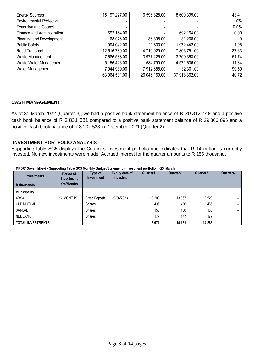| <b>Energy Sources</b>           | 15 197 227.00 | 6 596 828.00  | 8 600 399.00  | 43.41 |
|---------------------------------|---------------|---------------|---------------|-------|
| <b>Environmental Protection</b> |               |               |               | $0\%$ |
| <b>Executive and Council</b>    |               |               |               | 0.0%  |
| Finance and Administration      | 692 164.00    |               | 692 164.00    | 0.00  |
| Planning and Development        | 68 076.00     | 36 808.00     | 31 268.00     | 0     |
| <b>Public Safety</b>            | 1994 042.00   | 21 600.00     | 1972 442.00   | 1.08  |
| Road Transport                  | 12 516 780.00 | 4 710 029.00  | 7806751.00    | 37.63 |
| Waste Management                | 7686588.00    | 3 977 225.00  | 3709363.00    | 51.74 |
| Waste Water Management          | 5 156 426.00  | 584 790.00    | 4 571 636.00  | 11.34 |
| Water Management                | 7 944 989.00  | 7 912 688.00  | 32 301.00     | 99.59 |
|                                 | 63 964 531.00 | 26 046 169.00 | 37 918 362.00 | 40.72 |

#### **CASH MANAGEMENT:**

As of 31 March 2022 (Quarter 3), we had a positive bank statement balance of R 20 312 449 and a positive cash book balance of R 2 831 681 compared to a positive bank statement balance of R 29 366 096 and a positive cash book balance of R 8 202 538 in December 2021 (Quarter 2)

# **INVESTMENT PORTFOLIO ANALYSIS**

Supporting table SC5 displays the Council's investment portfolio and indicates that R 14 million is currently invested. No new investments were made. Accrued interest for the quarter amounts to R 156 thousand.

| <b>Investments</b>       | Period of<br>Investment | -----<br>Type of<br>Investment | <b>Expiry date of</b><br>investment | Quarter1 | Quarter <sub>2</sub> | Quarter3 | Quarter4                 |
|--------------------------|-------------------------|--------------------------------|-------------------------------------|----------|----------------------|----------|--------------------------|
| R thousands              | <b>Yrs/Months</b>       |                                |                                     |          |                      |          |                          |
| <b>Municipality</b>      |                         |                                |                                     |          |                      |          |                          |
| <b>ABSA</b>              | 12 MONTHS               | <b>Fixed Deposit</b>           | 23/06/2023                          | 13 208   | 13 3 67              | 13 523   | $\overline{\phantom{0}}$ |
| <b>OLD MUTUAL</b>        |                         | <b>Shares</b>                  |                                     | 436      | 436                  | 436      | $\overline{\phantom{0}}$ |
| SANLAM                   |                         | <b>Shares</b>                  |                                     | 150      | 150                  | 150      | $\overline{\phantom{0}}$ |
| <b>NEDBANK</b>           |                         | Shares                         |                                     | 177      | 177                  | 177      |                          |
| <b>TOTAL INVESTMENTS</b> |                         |                                |                                     | 13 971   | 14 131               | 14 28 6  | -                        |

**MP307 Govan Mbeki - Supporting Table SC5 Monthly Budget Statement - investment portfolio - Q3 March**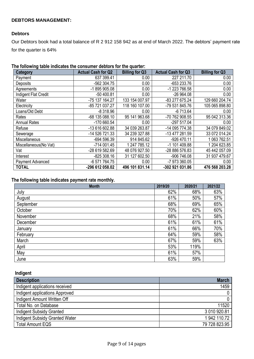# **DEBTORS MANAGEMENT:**

#### **Debtors**

Our Debtors book had a total balance of R 2 912 158 942 as at end of March 2022. The debtors' payment rate for the quarter is 64%

| The following table indicates the consumer debtors for the quarter: |  |
|---------------------------------------------------------------------|--|
|---------------------------------------------------------------------|--|

| Category              | <b>Actual Cash for Q2</b> | <b>Billing for Q3</b> | <b>Actual Cash for Q3</b> | <b>Billing for Q3</b> |
|-----------------------|---------------------------|-----------------------|---------------------------|-----------------------|
| Payment               | 637 399.41                | 0.00                  | 227 211.70                | 0.00                  |
| Deposits              | -562 304.75               | 0.00                  | -653 233.76               | 0.00                  |
| Agreements            | -1895905.08               | 0.00                  | -1 223 766.58             | 0.00                  |
| Indigent Flat Credit  | $-50400.81$               | 0.00                  | $-26964.08$               | 0.00                  |
| Water                 | -75 137 164.27            | 133 154 007.97        | -83 277 675.24            | 129 660 204.74        |
| Electricity           | -85 721 037.27            | 118 160 107.00        | -79 531 845.76            | 105 065 898.80        |
| Loans/Old Debt        | $-8318.96$                | 0.00                  | $-6713.64$                | 0.00                  |
| Rates                 | -68 135 088.10            | 95 141 963.68         | -70 762 908.55            | 95 042 313.36         |
| <b>Annual Rates</b>   | -170 660.54               | 0.00                  | -297 517.04               | 0.00                  |
| Refuse                | -13 616 602.88            | 34 039 263.87         | -14 095 774.38            | 34 079 849.02         |
| Sewerage              | -14 526 721.33            | 34 239 327.88         | -13 477 281.59            | 33 072 014.24         |
| Miscellaneous         | $-694596.39$              | 914 845.62            | -926 470.11               | 1 063 762.51          |
| Miscellaneous(No Vat) | $-714001.45$              | 1 247 785.12          | -1 101 409.88             | 1 204 623.85          |
| Vat                   | -28 619 582.69            | 48 076 927.50         | -28 886 576.83            | 45 442 057.09         |
| Interest              | $-825308.16$              | 31 127 602.50         | -906 746.08               | 31 937 479.67         |
| Payment Advanced      | -6 571 764.75             | 0.00                  | -7 973 360.05             | 0.00                  |
| <b>TOTAL</b>          | -296 612 058.02           | 496 101 831.14        | -302 921 031.86           | 476 568 203.28        |

# **The following table indicates payment rate monthly.**

| <b>Month</b> | 2019/20 | 2020/21 | 2021/22 |
|--------------|---------|---------|---------|
| July         | 62%     | 68%     | 63%     |
| August       | 61%     | 50%     | 57%     |
| September    | 68%     | 69%     | 65%     |
| October      | 70%     | 62%     | 60%     |
| November     | 68%     | 21%     | 58%     |
| December     | 61%     | 61%     | 61%     |
| January      | 61%     | 66%     | 70%     |
| February     | 64%     | 59%     | 58%     |
| March        | 67%     | 59%     | 63%     |
| April        | 53%     | 119%    |         |
| May          | 61%     | 57%     |         |
| June         | 63%     | 59%     |         |

 **Indigent** 

| <b>Description</b>                    | <b>March</b>  |
|---------------------------------------|---------------|
| Indigent applications received        | 1459          |
| Indigent applications Approved        |               |
| Indigent Amount Written Off           |               |
| Total No. on Database                 | 11520         |
| <b>Indigent Subsidy Granted</b>       | 3 010 920.81  |
| <b>Indigent Subsidy Granted Water</b> | 1 942 110.72  |
| <b>Total Amount EQS</b>               | 79 728 823.95 |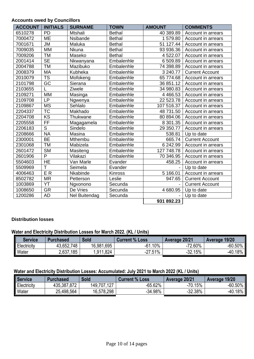# **Accounts owed by Councillors**

| <b>ACCOUNT</b> | <b>INITIALS</b>        | <b>SURNAME</b> | <b>TOWN</b>   | <b>AMOUNT</b> | <b>COMMENTS</b>        |
|----------------|------------------------|----------------|---------------|---------------|------------------------|
| 6510278        | <b>PD</b>              | Mtshali        | <b>Bethal</b> | 40 389.89     | Account in arrears     |
| 7000472        | <b>ME</b>              | Nsibande       | <b>Bethal</b> | 1579.80       | Account in arrears     |
| 7001671        | <b>JM</b>              | Maluka         | <b>Bethal</b> | 51 127.44     | Account in arrears     |
| 7009035        | <b>MM</b>              | Nkuna          | <b>Bethal</b> | 93 936.36     | Account in arrears     |
| 7009206        | <b>TM</b>              | Maseko         | <b>Bethal</b> | 4 522.07      | Account in arrears     |
| 2001414        | <b>SE</b>              | Nkwanyana      | Embalenhle    | 6 509.89      | Account in arrears     |
| 2004788        | <b>TM</b>              | Mazibuko       | Embalenhle    | 74 398.89     | Account in arrears     |
| 2008379        | <b>MA</b>              | Kubheka        | Embalenhle    | 3 240.77      | <b>Current Account</b> |
| 2010079        | <b>TS</b>              | Mofokeng       | Embalenhle    | 65 774.68     | Account in arrears     |
| 2101798        | $\overline{GC}$        | Sierana        | Embalenhle    | 36 851.12     | Account in arrears     |
| 2103655        |                        | Ziwele         | Embalenhle    | 34 980.83     | Account in arrears     |
| 2109271        | <b>MM</b>              | Masinga        | Embalenhle    | 4 4 6 6.5 3   | Account in arrears     |
| 2109708        | <b>LP</b>              | Ngwenya        | Embalenhle    | 22 523.78     | Account in arrears     |
| 2109867        | <b>MS</b>              | Sehlalo        | Embalenhle    | 107 516.37    | Account in arrears     |
| 2204337        | $\overline{\text{TC}}$ | Makhado        | Embalenhle    | 48 731.50     | Account in arrears     |
| 2204708        | $\overline{\text{KS}}$ | Thukwane       | Embalenhle    | 80 894.06     | Account in arrears     |
| 2205558        | $\overline{FF}$        | Magagamela     | Embalenhle    | 8 301.35      | Account in arrears     |
| 2206183        | $\overline{S}$         | Sindelo        | Embalenhle    | 29 350.77     | Account in arrears     |
| 2208666        | <b>NA</b>              | Masina         | Embalenhle    | 538.81        | Up to date             |
| 2300001        | BE                     | <b>Mthembu</b> | Embalenhle    | 665.74        | <b>Current Account</b> |
| 2301068        | <b>TM</b>              | Mabizela       | Embalenhle    | 6 242.99      | Account in arrears     |
| 2601472        | <b>SM</b>              | Masiteng       | Embalenhle    | 127 748.78    | Account in arrears     |
| 2601906        | $\overline{P}$         | Vilakazi       | Embalenhle    | 70 346.95     | Account in arrears     |
| 5504603        | <b>HE</b>              | Van Marle      | Evander       | 458.25        | Account in arrears     |
| 5509969        | $\overline{\top}$      | Seimela        | Evander       |               | Up to date             |
| 4006463        | ER                     | Nkabinde       | Kinross       | 5 166.01      | Account in arrears     |
| 8502782        | <b>MR</b>              | Petterson      | Leslie        | 947.65        | <b>Current Account</b> |
| 1003869        | YT                     | Ngxonono       | Secunda       |               | <b>Current Account</b> |
| 1008650        | <b>GR</b>              | De Vries       | Secunda       | 4 680.95      | Up to date             |
| 1200286        | <b>AD</b>              | Nel Buitendag  | Secunda       |               | Up to date             |
|                |                        |                |               | 931 892.23    |                        |

#### **Distribution losses**

# **Water and Electricity Distribution Losses for March 2022. (KL / Units)**

| <b>Service</b>     | <b>Purchased</b> | <b>Sold</b> | <b>Current % Loss</b>    | Average 20/21 | Average 19/20  |
|--------------------|------------------|-------------|--------------------------|---------------|----------------|
| <b>Electricity</b> | 43,652,748       | 16,981,695  | $-61.10%$                | $-72.60%$     | $-60.50\%$ .   |
| Water              | .185<br>2,637,   | 1,911,824   | $.51\%$<br>77<br>$-L1$ . | $-32.15%$     | $18\%$<br>-40. |

# **Water and Electricity Distribution Losses: Accumulated: July 2021 to March 2022 (KL / Units)**

| Service     | <b>Purchased</b> | Sold        | <b>Current % Loss</b> | Average 20/21 | Average 19/20 |
|-------------|------------------|-------------|-----------------------|---------------|---------------|
| Electricity | 435,387,872      | 149,707,127 | $-65.62%$             | $-70.15%$     | -60.50%       |
| Water       | 25,498,564       | 16,578,298  | $-34.98%$             | $-32.38%$     | -40.18% .     |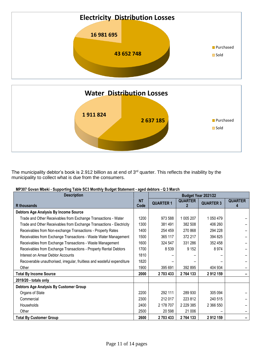

The municipality debtor's book is 2.912 billion as at end of 3<sup>rd</sup> quarter. This reflects the inability by the municipality to collect what is due from the consumers.

| MP307 Govan Mbeki - Supporting Table SC3 Monthly Budget Statement - aged debtors - Q 3 March |  |  |
|----------------------------------------------------------------------------------------------|--|--|
|                                                                                              |  |  |

| <b>Description</b>                                                      |                   | Budget Year 2021/22 |                |                  |                     |  |
|-------------------------------------------------------------------------|-------------------|---------------------|----------------|------------------|---------------------|--|
| <b>R</b> thousands                                                      | <b>NT</b><br>Code | <b>QUARTER 1</b>    | <b>QUARTER</b> | <b>QUARTER 3</b> | <b>QUARTER</b><br>4 |  |
| Debtors Age Analysis By Income Source                                   |                   |                     |                |                  |                     |  |
| Trade and Other Receivables from Exchange Transactions - Water          | 1200              | 973 588             | 1 005 207      | 1 050 479        |                     |  |
| Trade and Other Receivables from Exchange Transactions - Electricity    | 1300              | 381 491             | 382 508        | 406 260          |                     |  |
| Receivables from Non-exchange Transactions - Property Rates             | 1400              | 254 459             | 270 868        | 294 228          |                     |  |
| Receivables from Exchange Transactions - Waste Water Management         | 1500              | 365 117             | 372 217        | 394 825          |                     |  |
| Receivables from Exchange Transactions - Waste Management               | 1600              | 324 547             | 331 286        | 352 458          |                     |  |
| Receivables from Exchange Transactions - Property Rental Debtors        | 1700              | 8 5 3 9             | 9 1 5 2        | 8974             |                     |  |
| Interest on Arrear Debtor Accounts                                      | 1810              |                     |                |                  |                     |  |
| Recoverable unauthorised, irregular, fruitless and wasteful expenditure | 1820              |                     |                |                  |                     |  |
| Other                                                                   | 1900              | 395 691             | 392 895        | 404 934          |                     |  |
| <b>Total By Income Source</b>                                           | 2000              | 2 703 433           | 2764133        | 2912159          |                     |  |
| 2019/20 - totals only                                                   |                   |                     |                |                  |                     |  |
| Debtors Age Analysis By Customer Group                                  |                   |                     |                |                  |                     |  |
| Organs of State                                                         | 2200              | 292 111             | 289 930        | 305 094          |                     |  |
| Commercial                                                              | 2300              | 212 017             | 223 812        | 240 515          |                     |  |
| <b>Households</b>                                                       | 2400              | 2 178 707           | 2 2 2 3 3 8 5  | 2 366 550        |                     |  |
| Other                                                                   | 2500              | 20 598              | 21 006         |                  |                     |  |
| <b>Total By Customer Group</b>                                          | 2600              | 2 703 433           | 2764133        | 2912159          |                     |  |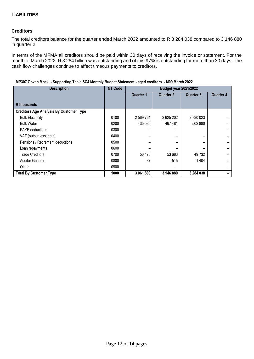# **Creditors**

The total creditors balance for the quarter ended March 2022 amounted to R 3 284 038 compared to 3 146 880 in quarter 2

In terms of the MFMA all creditors should be paid within 30 days of receiving the invoice or statement. For the month of March 2022, R 3 284 billion was outstanding and of this 97% is outstanding for more than 30 days. The cash flow challenges continue to affect timeous payments to creditors.

| <b>Description</b>                             | <b>NT Code</b> | <b>Budget year 2021/2022</b> |                          |                  |                  |
|------------------------------------------------|----------------|------------------------------|--------------------------|------------------|------------------|
|                                                |                | <b>Quarter 1</b>             | <b>Quarter 2</b>         | <b>Quarter 3</b> | <b>Quarter 4</b> |
| R thousands                                    |                |                              |                          |                  |                  |
| <b>Creditors Age Analysis By Customer Type</b> |                |                              |                          |                  |                  |
| <b>Bulk Electricity</b>                        | 0100           | 2 569 761                    | 2 625 202                | 2 730 023        |                  |
| <b>Bulk Water</b>                              | 0200           | 435 530                      | 467481                   | 502 880          |                  |
| <b>PAYE</b> deductions                         | 0300           |                              | -                        |                  |                  |
| VAT (output less input)                        | 0400           |                              | -                        |                  |                  |
| Pensions / Retirement deductions               | 0500           |                              |                          |                  |                  |
| Loan repayments                                | 0600           |                              |                          |                  |                  |
| <b>Trade Creditors</b>                         | 0700           | 56 473                       | 53 683                   | 49 732           |                  |
| <b>Auditor General</b>                         | 0800           | 37                           | 515                      | 1 4 0 4          |                  |
| Other                                          | 0900           |                              | $\overline{\phantom{0}}$ |                  |                  |
| <b>Total By Customer Type</b>                  | 1000           | 3 061 800                    | 3 146 880                | 3 284 038        |                  |

#### **MP307 Govan Mbeki - Supporting Table SC4 Monthly Budget Statement - aged creditors - M09 March 2022**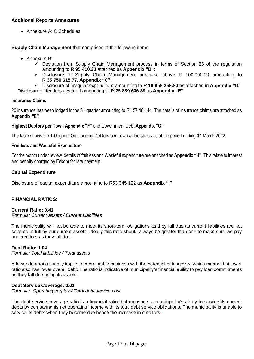# **Additional Reports Annexures**

• Annexure A: C Schedules

**Supply Chain Management** that comprises of the following items

- Annexure B:
	- $\checkmark$  Deviation from Supply Chain Management process in terms of Section 36 of the regulation amounting to **R 95 410.33** attached as **Appendix "B"**:
	- ✓ Disclosure of Supply Chain Management purchase above R 100 000.00 amounting to **R 35 750 615.77**. **Appendix "C"**:
	- ✓ Disclosure of irregular expenditure amounting to **R 10 858 258.80** as attached in **Appendix "D"**

Disclosure of tenders awarded amounting to **R 25 889 636.39** as **Appendix "E"**

#### **Insurance Claims**

20 insurance has been lodged in the 3rd quarter amounting to R 157 161.44. The details of insurance claims are attached as **Appendix "E"**.

#### **Highest Debtors per Town Appendix "F"** and Government Debt **Appendix "G"**

The table shows the 10 highest Outstanding Debtors per Town at the status as at the period ending 31 March 2022.

#### **Fruitless and Wasteful Expenditure**

For the month under review, details of fruitless and Wasteful expenditure are attached as **Appendix "H"**. This relate to interest and penalty charged by Eskom for late payment

#### **Capital Expenditure**

Disclosure of capital expenditure amounting to R53 345 122 as **Appendix "I"**

#### **FINANCIAL RATIOS:**

#### **Current Ratio: 0.41**

#### *Formula: Current assets / Current Liabilities*

The municipality will not be able to meet its short-term obligations as they fall due as current liabilities are not covered in full by our current assets. Ideally this ratio should always be greater than one to make sure we pay our creditors as they fall due.

#### **Debt Ratio: 1.04**

*Formula: Total liabilities / Total assets*

A lower debt ratio usually implies a more stable business with the potential of longevity, which means that lower ratio also has lower overall debt. The ratio is indicative of municipality's financial ability to pay loan commitments as they fall due using its assets.

#### **Debt Service Coverage: 0.01**

*Formula: Operating surplus / Total debt service cost*

The debt service coverage ratio is a financial ratio that measures a municipality's ability to service its current debts by comparing its net operating income with its total debt service obligations. The municipality is unable to service its debts when they become due hence the increase in creditors.